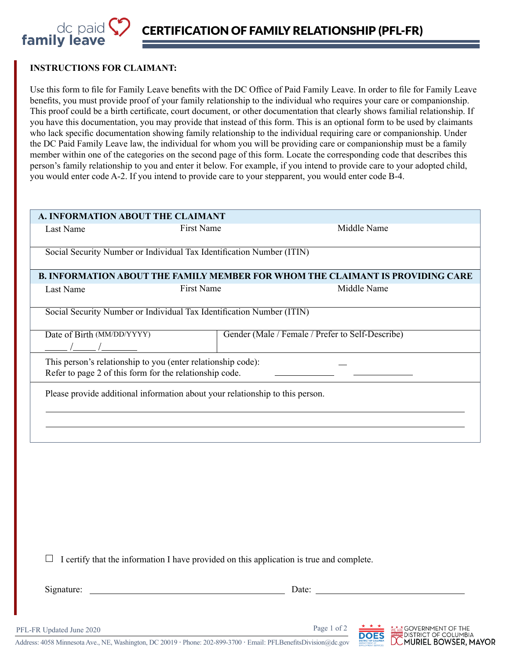

## **INSTRUCTIONS FOR CLAIMANT:**

Use this form to file for Family Leave benefits with the DC Office of Paid Family Leave. In order to file for Family Leave benefits, you must provide proof of your family relationship to the individual who requires your care or companionship. This proof could be a birth certificate, court document, or other documentation that clearly shows familial relationship. If you have this documentation, you may provide that instead of this form. This is an optional form to be used by claimants who lack specific documentation showing family relationship to the individual requiring care or companionship. Under the DC Paid Family Leave law, the individual for whom you will be providing care or companionship must be a family member within one of the categories on the second page of this form. Locate the corresponding code that describes this person's family relationship to you and enter it below. For example, if you intend to provide care to your adopted child, you would enter code A-2. If you intend to provide care to your stepparent, you would enter code B-4.

|                                                                                                                                                                                                                                                                                                                                                   | A. INFORMATION ABOUT THE CLAIMANT                                                                                       |                                                                                       |
|---------------------------------------------------------------------------------------------------------------------------------------------------------------------------------------------------------------------------------------------------------------------------------------------------------------------------------------------------|-------------------------------------------------------------------------------------------------------------------------|---------------------------------------------------------------------------------------|
| Last Name                                                                                                                                                                                                                                                                                                                                         | <b>First Name</b>                                                                                                       | Middle Name                                                                           |
|                                                                                                                                                                                                                                                                                                                                                   | Social Security Number or Individual Tax Identification Number (ITIN)                                                   |                                                                                       |
|                                                                                                                                                                                                                                                                                                                                                   |                                                                                                                         | <b>B. INFORMATION ABOUT THE FAMILY MEMBER FOR WHOM THE CLAIMANT IS PROVIDING CARE</b> |
| Last Name                                                                                                                                                                                                                                                                                                                                         | First Name                                                                                                              | Middle Name                                                                           |
|                                                                                                                                                                                                                                                                                                                                                   | Social Security Number or Individual Tax Identification Number (ITIN)                                                   |                                                                                       |
| Date of Birth (MM/DD/YYYY)<br>$\frac{1}{2}$ $\frac{1}{2}$ $\frac{1}{2}$ $\frac{1}{2}$ $\frac{1}{2}$ $\frac{1}{2}$ $\frac{1}{2}$ $\frac{1}{2}$ $\frac{1}{2}$ $\frac{1}{2}$ $\frac{1}{2}$ $\frac{1}{2}$ $\frac{1}{2}$ $\frac{1}{2}$ $\frac{1}{2}$ $\frac{1}{2}$ $\frac{1}{2}$ $\frac{1}{2}$ $\frac{1}{2}$ $\frac{1}{2}$ $\frac{1}{2}$ $\frac{1}{2}$ |                                                                                                                         | Gender (Male / Female / Prefer to Self-Describe)                                      |
|                                                                                                                                                                                                                                                                                                                                                   | This person's relationship to you (enter relationship code):<br>Refer to page 2 of this form for the relationship code. |                                                                                       |
|                                                                                                                                                                                                                                                                                                                                                   | Please provide additional information about your relationship to this person.                                           |                                                                                       |
|                                                                                                                                                                                                                                                                                                                                                   |                                                                                                                         |                                                                                       |
|                                                                                                                                                                                                                                                                                                                                                   |                                                                                                                         |                                                                                       |
|                                                                                                                                                                                                                                                                                                                                                   |                                                                                                                         |                                                                                       |
|                                                                                                                                                                                                                                                                                                                                                   |                                                                                                                         |                                                                                       |
|                                                                                                                                                                                                                                                                                                                                                   |                                                                                                                         |                                                                                       |
|                                                                                                                                                                                                                                                                                                                                                   |                                                                                                                         |                                                                                       |
|                                                                                                                                                                                                                                                                                                                                                   |                                                                                                                         |                                                                                       |

 $\Box$  I certify that the information I have provided on this application is true and complete.

Signature: Date: Date:

PFL-FR Updated June 2020 Page 1 of 2



**EGOVERNMENT OF THE** DISTRICT OF COLUMBIA **DCMURIEL BOWSER, MAYOR** 

Address: 4058 Minnesota Ave., NE, Washington, DC 20019 **·** Phone: 202-899-3700 **·** Email: PFLBenefitsDivision@dc.gov